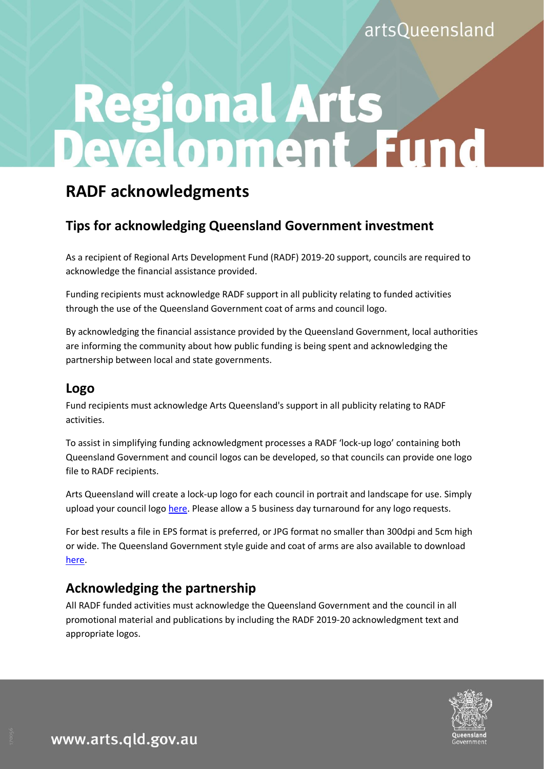# Regional Arts<br>Development Fund

# **RADF acknowledgments**

## **Tips for acknowledging Queensland Government investment**

As a recipient of Regional Arts Development Fund (RADF) 2019-20 support, councils are required to acknowledge the financial assistance provided.

Funding recipients must acknowledge RADF support in all publicity relating to funded activities through the use of the Queensland Government coat of arms and council logo.

By acknowledging the financial assistance provided by the Queensland Government, local authorities are informing the community about how public funding is being spent and acknowledging the partnership between local and state governments.

#### **Logo**

Fund recipients must acknowledge Arts Queensland's support in all publicity relating to RADF activities.

To assist in simplifying funding acknowledgment processes a RADF 'lock-up logo' containing both Queensland Government and council logos can be developed, so that councils can provide one logo file to RADF recipients.

Arts Queensland will create a lock-up logo for each council in portrait and landscape for use. Simply upload your council logo [here.](https://www.dropbox.com/request/vAWfgPHRNsoyJ7hzFVnk) Please allow a 5 business day turnaround for any logo requests.

For best results a file in EPS format is preferred, or JPG format no smaller than 300dpi and 5cm high or wide. The Queensland Government style guide and coat of arms are also available to download [here.](http://www.arts.qld.gov.au/aq-funding/acknowledgement)

## **Acknowledging the partnership**

All RADF funded activities must acknowledge the Queensland Government and the council in all promotional material and publications by including the RADF 2019-20 acknowledgment text and appropriate logos.